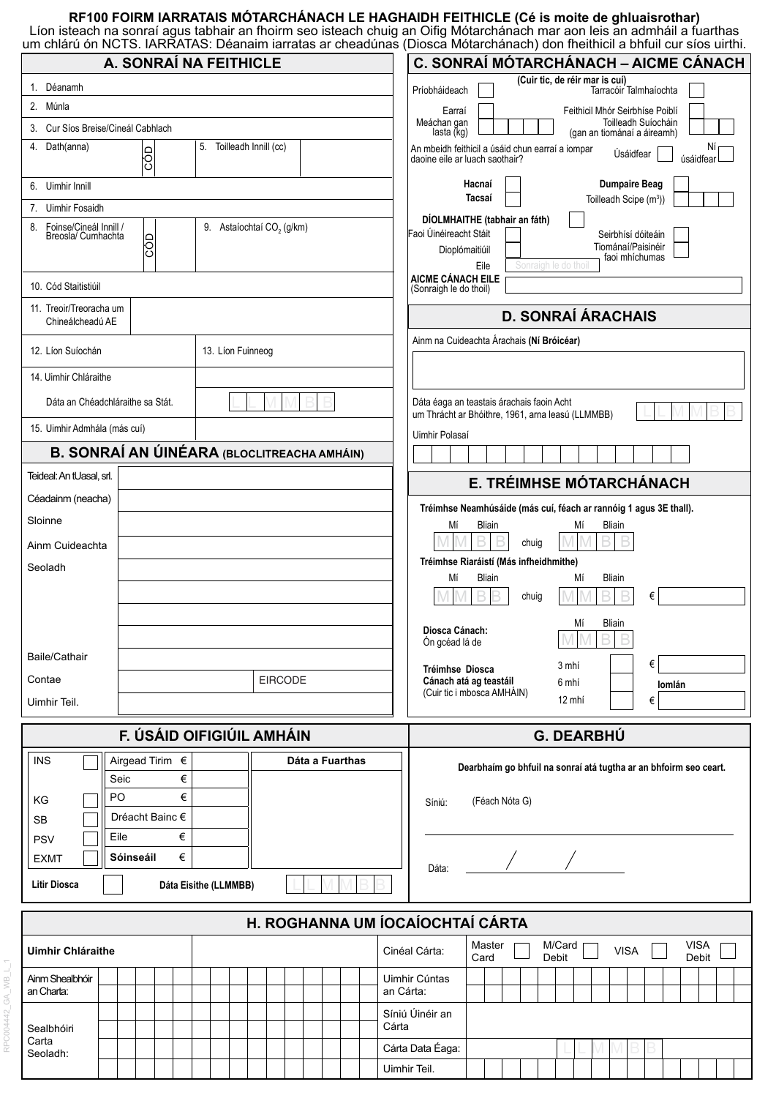# **RF100 FOIRM IARRATAIS MÓTARCHÁNACH LE HAGHAIDH FEITHICLE (Cé is moite de ghluaisrothar)**

Líon isteach na sonraí agus tabhair an fhoirm seo isteach chuig an Oifig Mótarchánach mar aon leis an admháil a fuarthas um chlárú ón NCTS. IARRATAS: Déanaim iarratas ar cheadúnas (Diosca Mótarchánach) don fheithicil a bhfuil cur síos uirthi.

| A. SONRAÍ NA FEITHICLE                                     |                                       | C. SONRAÍ MÓTARCHÁNACH – AICME CÁNACH                                                                                                                                   |
|------------------------------------------------------------|---------------------------------------|-------------------------------------------------------------------------------------------------------------------------------------------------------------------------|
| 1. Déanamh                                                 |                                       | (Cuir tic, de réir mar is cuí)<br>Príobháideach<br>Tarracóir Talmhaíochta                                                                                               |
| 2. Múnla                                                   |                                       | Feithicil Mhór Seirbhíse Poiblí<br>Earraí                                                                                                                               |
| 3. Cur Síos Breise/Cineál Cabhlach                         |                                       | Meáchan gan<br>Toilleadh Suíocháin<br>lasta (kg)<br>(gan an tiománaí a áireamh)                                                                                         |
| 4. Dath(anna)<br><b>CÓD</b>                                | 5. Toilleadh Innill (cc)              | Νì<br>An mbeidh feithicil a úsáid chun earraí a iompar<br>Úsáidfear<br>úsáidfea<br>daoine eile ar luach saothair?                                                       |
| 6. Uimhir Innill                                           |                                       | <b>Dumpaire Beag</b><br>Hacnaí                                                                                                                                          |
| 7.<br>Uimhir Fosaidh                                       |                                       | Tacsaí<br>Toilleadh Scipe (m <sup>3</sup> ))                                                                                                                            |
| Foinse/Cineál Innill /<br>8.<br>Breosla/ Cumhachta<br>leco | 9. Astaíochtaí CO <sub>2</sub> (g/km) | DÍOLMHAITHE (tabhair an fáth)<br>Faoi Úinéireacht Stáit<br>Seirbhísí dóiteáin<br>Tiománaí/Paisinéir<br>Dioplómaitiúil<br>faoi mhíchumas<br>Sonraigh le do thoil<br>Eile |
| 10. Cód Staitistiúil                                       |                                       | AICME CÁNACH EILE<br>(Sonraigh le do thoil)                                                                                                                             |
| 11. Treoir/Treoracha um<br>Chineálcheadú AE                |                                       | <b>D. SONRAÍ ÁRACHAIS</b>                                                                                                                                               |
| 12. Líon Suíochán                                          | 13. Líon Fuinneog                     | Ainm na Cuideachta Árachais (Ní Bróicéar)                                                                                                                               |
| 14. Uimhir Chláraithe                                      |                                       |                                                                                                                                                                         |
| Dáta an Chéadchláraithe sa Stát.                           |                                       | Dáta éaga an teastais árachais faoin Acht<br>um Thrácht ar Bhóithre, 1961, arna leasú (LLMMBB)                                                                          |
| 15. Uimhir Admhála (más cuí)                               |                                       | Uimhir Polasaí                                                                                                                                                          |
| <b>B. SONRAÍ AN ÚINÉARA (BLOCLITREACHA AMHÁIN)</b>         |                                       |                                                                                                                                                                         |
| Teideal: An tUasal, srl.<br>E. TRÉIMHSE MÓTARCHÁNACH       |                                       |                                                                                                                                                                         |
| Céadainm (neacha)                                          |                                       | Tréimhse Neamhúsáide (más cuí, féach ar rannóig 1 agus 3E thall).                                                                                                       |
| Sloinne                                                    |                                       | <b>Bliain</b><br><b>Bliain</b><br>Мí<br>Мí                                                                                                                              |
| Ainm Cuideachta                                            |                                       | B<br>B<br>B<br>chuig                                                                                                                                                    |
| Seoladh                                                    |                                       | Tréimhse Riaráistí (Más infheidhmithe)                                                                                                                                  |
|                                                            |                                       | Bliain<br><b>Bliain</b><br>Мí<br>Мí<br>chuig<br>€                                                                                                                       |
|                                                            |                                       | <b>Bliain</b><br>Мí<br>Diosca Cánach:<br><b>MMBB</b><br>Ón gcéad lá de                                                                                                  |
| Baile/Cathair                                              |                                       | €                                                                                                                                                                       |
| Contae                                                     | <b>EIRCODE</b>                        | 3 mhí<br>Tréimhse Diosca<br>Cánach atá ag teastáil<br>6 mhí<br>lomlán                                                                                                   |
| Uimhir Teil.                                               |                                       | (Cuir tic i mbosca AMHÁIN)<br>12 mhí<br>€                                                                                                                               |
| F. ÚSÁID OIFIGIÚIL AMHÁIN<br><b>G. DEARBHÚ</b>             |                                       |                                                                                                                                                                         |
|                                                            |                                       |                                                                                                                                                                         |
| Airgead Tirim $\epsilon$<br><b>INS</b><br>€<br>Seic        | Dáta a Fuarthas                       | Dearbhaím go bhfuil na sonraí atá tugtha ar an bhfoirm seo ceart.                                                                                                       |
| €<br>PO<br>ΚG                                              |                                       | (Féach Nóta G)<br>Síniú:                                                                                                                                                |
| Dréacht Bainc €<br><b>SB</b>                               |                                       |                                                                                                                                                                         |
| €<br>Eile<br><b>PSV</b>                                    |                                       |                                                                                                                                                                         |
| €<br>Sóinseáil<br><b>EXMT</b>                              |                                       | Dáta:                                                                                                                                                                   |
| <b>Litir Diosca</b><br>Dáta Eisithe (LLMMBB)               |                                       |                                                                                                                                                                         |
| H. ROGHANNA UM ÍOCAÍOCHTAÍ CÁRTA                           |                                       |                                                                                                                                                                         |
| <b>Uimhir Chláraithe</b><br>Cinéal Cárta:                  |                                       | <b>VISA</b><br>Master<br>M/Card<br><b>VISA</b><br>Debit<br>Card<br>Debit                                                                                                |
| Ainm Shealbhóir<br>an Charta:                              |                                       | Uimhir Cúntas<br>an Cárta:                                                                                                                                              |
| Sealbhóiri                                                 |                                       | Síniú Úinéir an<br>Cárta                                                                                                                                                |
| Carta<br>Seoladh:                                          |                                       | Cárta Data Éaga:                                                                                                                                                        |

Uimhir Teil.